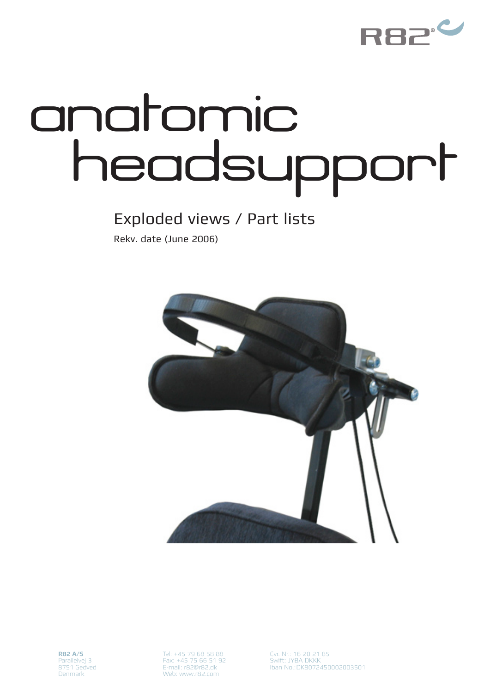

## anatomic headsupport

## Exploded views / Part lists

Rekv. date (June 2006)



Tel: +45 79 68 58 88 Fax: +45 75 66 51 92 E-mail: r82@r82.dk Web: www.r82.com

Cvr. Nr.: 16 20 21 85 Swift: JYBA DKKK Iban No.:DK8072450002003501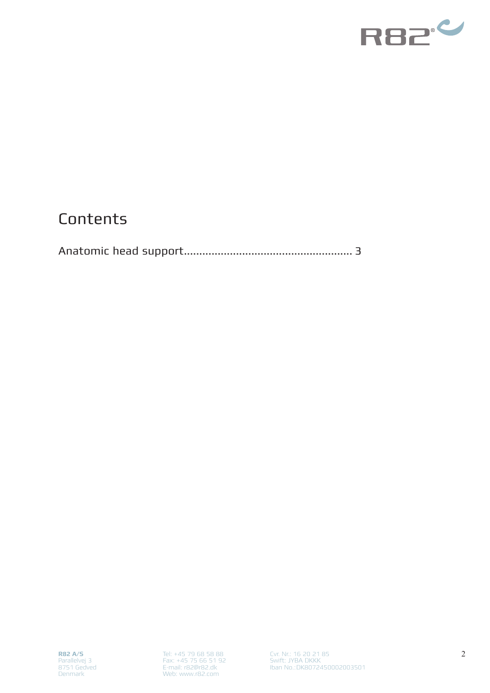

## **Contents**

|--|--|--|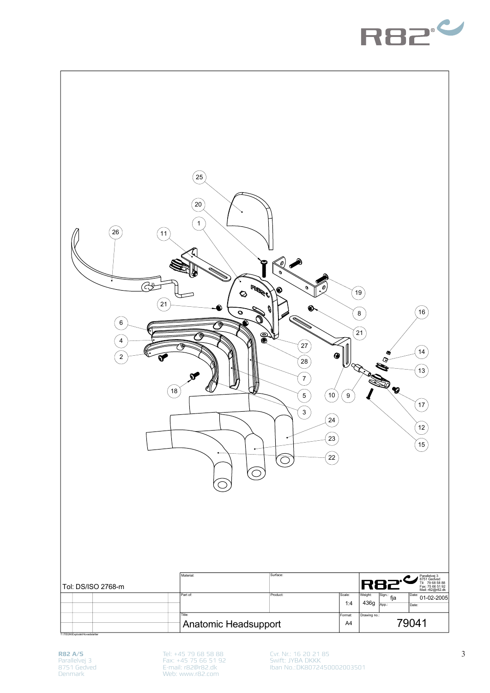



**R82 A/S** Parallelvej 3 8751 Gedved Denmark

Tel: +45 79 68 58 88 Fax: +45 75 66 51 92 E-mail: r82@r82.dk Web: www.r82.com

Cvr. Nr.: 16 20 21 85 Swift: JYBA DKKK Iban No.:DK8072450002003501